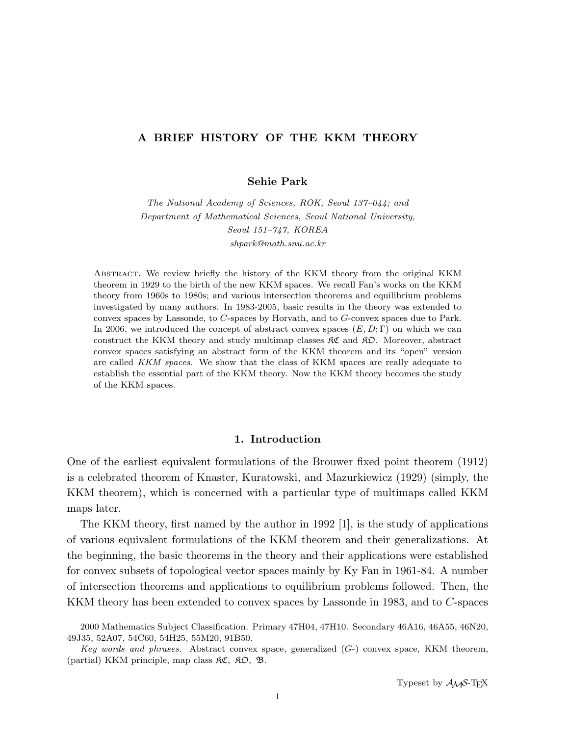# A BRIEF HISTORY OF THE KKM THEORY

Sehie Park

The National Academy of Sciences, ROK, Seoul 137–044; and Department of Mathematical Sciences, Seoul National University, Seoul 151–747, KOREA shpark@math.snu.ac.kr

Abstract. We review briefly the history of the KKM theory from the original KKM theorem in 1929 to the birth of the new KKM spaces. We recall Fan's works on the KKM theory from 1960s to 1980s; and various intersection theorems and equilibrium problems investigated by many authors. In 1983-2005, basic results in the theory was extended to convex spaces by Lassonde, to C-spaces by Horvath, and to G-convex spaces due to Park. In 2006, we introduced the concept of abstract convex spaces  $(E, D; \Gamma)$  on which we can construct the KKM theory and study multimap classes  $\mathcal{RC}$  and  $\mathcal{RD}$ . Moreover, abstract convex spaces satisfying an abstract form of the KKM theorem and its "open" version are called KKM spaces. We show that the class of KKM spaces are really adequate to establish the essential part of the KKM theory. Now the KKM theory becomes the study of the KKM spaces.

# 1. Introduction

One of the earliest equivalent formulations of the Brouwer fixed point theorem (1912) is a celebrated theorem of Knaster, Kuratowski, and Mazurkiewicz (1929) (simply, the KKM theorem), which is concerned with a particular type of multimaps called KKM maps later.

The KKM theory, first named by the author in 1992 [1], is the study of applications of various equivalent formulations of the KKM theorem and their generalizations. At the beginning, the basic theorems in the theory and their applications were established for convex subsets of topological vector spaces mainly by Ky Fan in 1961-84. A number of intersection theorems and applications to equilibrium problems followed. Then, the KKM theory has been extended to convex spaces by Lassonde in 1983, and to C-spaces

<sup>2000</sup> Mathematics Subject Classification. Primary 47H04, 47H10. Secondary 46A16, 46A55, 46N20, 49J35, 52A07, 54C60, 54H25, 55M20, 91B50.

Key words and phrases. Abstract convex space, generalized  $(G)$  convex space, KKM theorem, (partial) KKM principle, map class  $\mathfrak{RC}, \ \mathfrak{RD}, \ \mathfrak{B}.$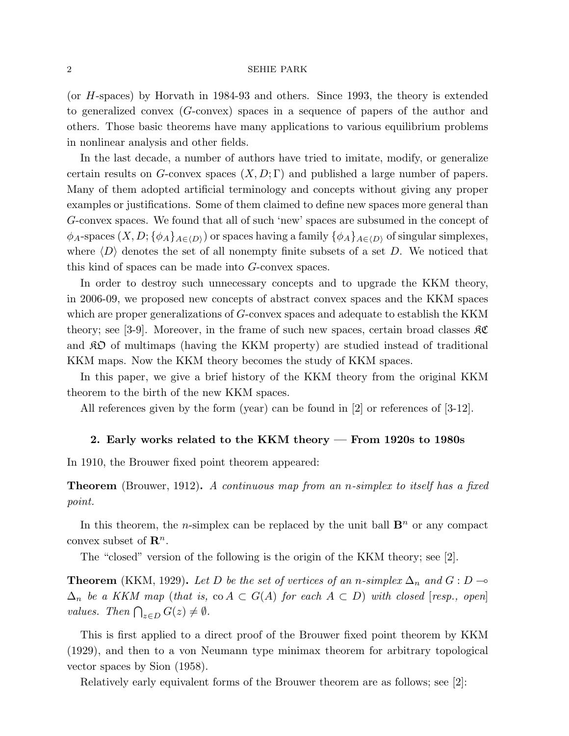(or H-spaces) by Horvath in 1984-93 and others. Since 1993, the theory is extended to generalized convex (G-convex) spaces in a sequence of papers of the author and others. Those basic theorems have many applications to various equilibrium problems in nonlinear analysis and other fields.

In the last decade, a number of authors have tried to imitate, modify, or generalize certain results on G-convex spaces  $(X, D; \Gamma)$  and published a large number of papers. Many of them adopted artificial terminology and concepts without giving any proper examples or justifications. Some of them claimed to define new spaces more general than G-convex spaces. We found that all of such 'new' spaces are subsumed in the concept of  $\phi_A$ -spaces  $(X, D; {\phi_A}_{A \in (D)})$  or spaces having a family  ${\phi_A}_{A \in (D)}$  of singular simplexes, where  $\langle D \rangle$  denotes the set of all nonempty finite subsets of a set D. We noticed that this kind of spaces can be made into G-convex spaces.

In order to destroy such unnecessary concepts and to upgrade the KKM theory, in 2006-09, we proposed new concepts of abstract convex spaces and the KKM spaces which are proper generalizations of G-convex spaces and adequate to establish the KKM theory; see [3-9]. Moreover, in the frame of such new spaces, certain broad classes  $\Re\mathfrak{C}$ and  $\mathcal{R}$  of multimaps (having the KKM property) are studied instead of traditional KKM maps. Now the KKM theory becomes the study of KKM spaces.

In this paper, we give a brief history of the KKM theory from the original KKM theorem to the birth of the new KKM spaces.

All references given by the form (year) can be found in [2] or references of [3-12].

# 2. Early works related to the KKM theory — From 1920s to 1980s

In 1910, the Brouwer fixed point theorem appeared:

**Theorem** (Brouwer, 1912). A continuous map from an n-simplex to itself has a fixed point.

In this theorem, the *n*-simplex can be replaced by the unit ball  $\mathbf{B}^n$  or any compact convex subset of  $\mathbf{R}^n$ .

The "closed" version of the following is the origin of the KKM theory; see [2].

**Theorem** (KKM, 1929). Let D be the set of vertices of an n-simplex  $\Delta_n$  and  $G : D \rightarrow$  $\Delta_n$  be a KKM map (that is, co  $A \subset G(A)$  for each  $A \subset D$ ) with closed [resp., open]  $\sum_n$  or a HIM map (that is,<br>values. Then  $\bigcap_{z\in D} G(z) \neq \emptyset$ .

This is first applied to a direct proof of the Brouwer fixed point theorem by KKM (1929), and then to a von Neumann type minimax theorem for arbitrary topological vector spaces by Sion (1958).

Relatively early equivalent forms of the Brouwer theorem are as follows; see [2]: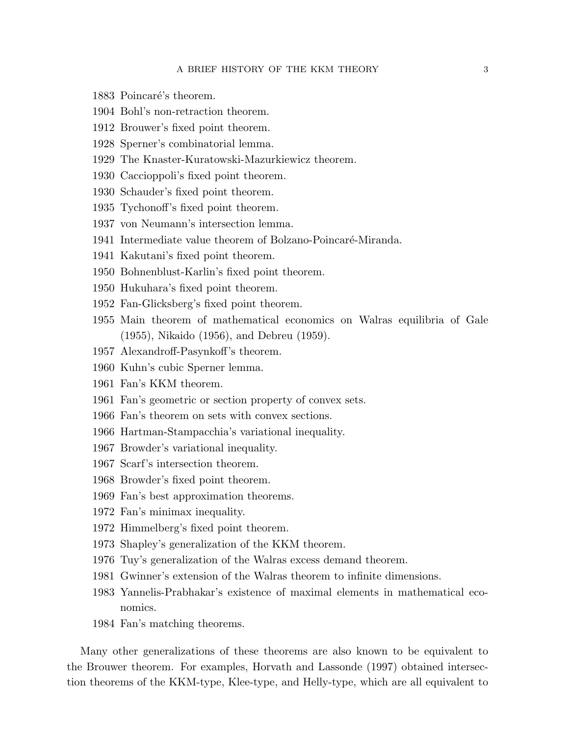- 1883 Poincaré's theorem.
- 1904 Bohl's non-retraction theorem.
- 1912 Brouwer's fixed point theorem.
- 1928 Sperner's combinatorial lemma.
- 1929 The Knaster-Kuratowski-Mazurkiewicz theorem.
- 1930 Caccioppoli's fixed point theorem.
- 1930 Schauder's fixed point theorem.
- 1935 Tychonoff's fixed point theorem.
- 1937 von Neumann's intersection lemma.
- 1941 Intermediate value theorem of Bolzano-Poincaré-Miranda.
- 1941 Kakutani's fixed point theorem.
- 1950 Bohnenblust-Karlin's fixed point theorem.
- 1950 Hukuhara's fixed point theorem.
- 1952 Fan-Glicksberg's fixed point theorem.
- 1955 Main theorem of mathematical economics on Walras equilibria of Gale (1955), Nikaido (1956), and Debreu (1959).
- 1957 Alexandroff-Pasynkoff's theorem.
- 1960 Kuhn's cubic Sperner lemma.
- 1961 Fan's KKM theorem.
- 1961 Fan's geometric or section property of convex sets.
- 1966 Fan's theorem on sets with convex sections.
- 1966 Hartman-Stampacchia's variational inequality.
- 1967 Browder's variational inequality.
- 1967 Scarf's intersection theorem.
- 1968 Browder's fixed point theorem.
- 1969 Fan's best approximation theorems.
- 1972 Fan's minimax inequality.
- 1972 Himmelberg's fixed point theorem.
- 1973 Shapley's generalization of the KKM theorem.
- 1976 Tuy's generalization of the Walras excess demand theorem.
- 1981 Gwinner's extension of the Walras theorem to infinite dimensions.
- 1983 Yannelis-Prabhakar's existence of maximal elements in mathematical economics.
- 1984 Fan's matching theorems.

Many other generalizations of these theorems are also known to be equivalent to the Brouwer theorem. For examples, Horvath and Lassonde (1997) obtained intersection theorems of the KKM-type, Klee-type, and Helly-type, which are all equivalent to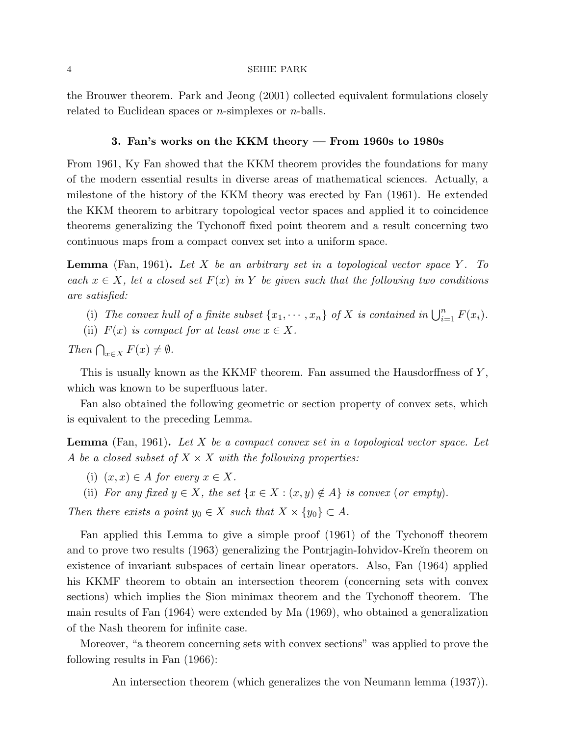the Brouwer theorem. Park and Jeong (2001) collected equivalent formulations closely related to Euclidean spaces or  $n$ -simplexes or  $n$ -balls.

# 3. Fan's works on the KKM theory — From 1960s to 1980s

From 1961, Ky Fan showed that the KKM theorem provides the foundations for many of the modern essential results in diverse areas of mathematical sciences. Actually, a milestone of the history of the KKM theory was erected by Fan (1961). He extended the KKM theorem to arbitrary topological vector spaces and applied it to coincidence theorems generalizing the Tychonoff fixed point theorem and a result concerning two continuous maps from a compact convex set into a uniform space.

**Lemma** (Fan, 1961). Let X be an arbitrary set in a topological vector space Y. To each  $x \in X$ , let a closed set  $F(x)$  in Y be given such that the following two conditions are satisfied:

- (i) The convex hull of a finite subset  $\{x_1, \dots, x_n\}$  of X is contained in  $\bigcup_{i=1}^n F(x_i)$ .
- (ii)  $F(x)$  is compact for at least one  $x \in X$ .

Then  $\bigcap_{x\in X} F(x) \neq \emptyset$ .

This is usually known as the KKMF theorem. Fan assumed the Hausdorffness of Y, which was known to be superfluous later.

Fan also obtained the following geometric or section property of convex sets, which is equivalent to the preceding Lemma.

**Lemma** (Fan, 1961). Let X be a compact convex set in a topological vector space. Let A be a closed subset of  $X \times X$  with the following properties:

(i)  $(x, x) \in A$  for every  $x \in X$ .

(ii) For any fixed  $y \in X$ , the set  $\{x \in X : (x, y) \notin A\}$  is convex (or empty).

Then there exists a point  $y_0 \in X$  such that  $X \times \{y_0\} \subset A$ .

Fan applied this Lemma to give a simple proof (1961) of the Tychonoff theorem and to prove two results (1963) generalizing the Pontrjagin-Iohvidov-Kreĭn theorem on existence of invariant subspaces of certain linear operators. Also, Fan (1964) applied his KKMF theorem to obtain an intersection theorem (concerning sets with convex sections) which implies the Sion minimax theorem and the Tychonoff theorem. The main results of Fan (1964) were extended by Ma (1969), who obtained a generalization of the Nash theorem for infinite case.

Moreover, "a theorem concerning sets with convex sections" was applied to prove the following results in Fan (1966):

An intersection theorem (which generalizes the von Neumann lemma (1937)).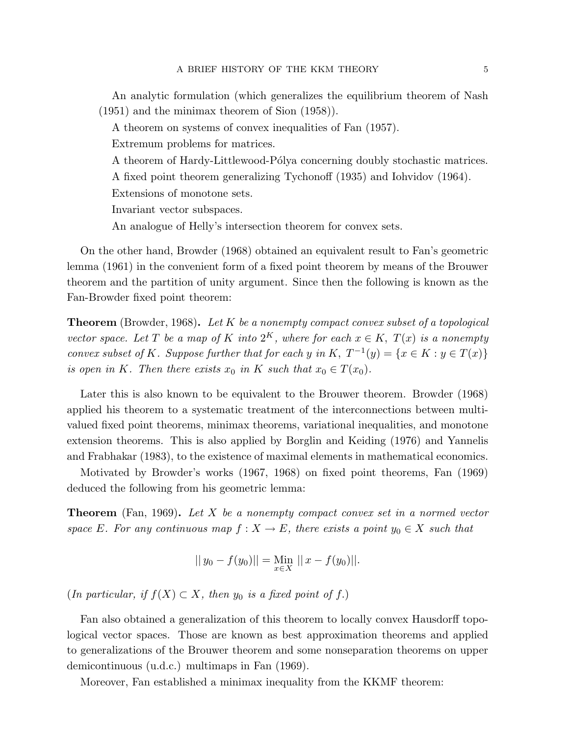An analytic formulation (which generalizes the equilibrium theorem of Nash (1951) and the minimax theorem of Sion (1958)).

A theorem on systems of convex inequalities of Fan (1957).

Extremum problems for matrices.

A theorem of Hardy-Littlewood-Pólya concerning doubly stochastic matrices.

A fixed point theorem generalizing Tychonoff (1935) and Iohvidov (1964).

Extensions of monotone sets.

Invariant vector subspaces.

An analogue of Helly's intersection theorem for convex sets.

On the other hand, Browder (1968) obtained an equivalent result to Fan's geometric lemma (1961) in the convenient form of a fixed point theorem by means of the Brouwer theorem and the partition of unity argument. Since then the following is known as the Fan-Browder fixed point theorem:

**Theorem** (Browder, 1968). Let K be a nonempty compact convex subset of a topological vector space. Let T be a map of K into  $2^K$ , where for each  $x \in K$ ,  $T(x)$  is a nonempty convex subset of K. Suppose further that for each y in K,  $T^{-1}(y) = \{x \in K : y \in T(x)\}\$ is open in K. Then there exists  $x_0$  in K such that  $x_0 \in T(x_0)$ .

Later this is also known to be equivalent to the Brouwer theorem. Browder (1968) applied his theorem to a systematic treatment of the interconnections between multivalued fixed point theorems, minimax theorems, variational inequalities, and monotone extension theorems. This is also applied by Borglin and Keiding (1976) and Yannelis and Frabhakar (1983), to the existence of maximal elements in mathematical economics.

Motivated by Browder's works (1967, 1968) on fixed point theorems, Fan (1969) deduced the following from his geometric lemma:

**Theorem** (Fan, 1969). Let X be a nonempty compact convex set in a normed vector space E. For any continuous map  $f: X \to E$ , there exists a point  $y_0 \in X$  such that

$$
|| y_0 - f(y_0)|| = \lim_{x \in X} ||x - f(y_0)||.
$$

(In particular, if  $f(X) \subset X$ , then  $y_0$  is a fixed point of f.)

Fan also obtained a generalization of this theorem to locally convex Hausdorff topological vector spaces. Those are known as best approximation theorems and applied to generalizations of the Brouwer theorem and some nonseparation theorems on upper demicontinuous (u.d.c.) multimaps in Fan (1969).

Moreover, Fan established a minimax inequality from the KKMF theorem: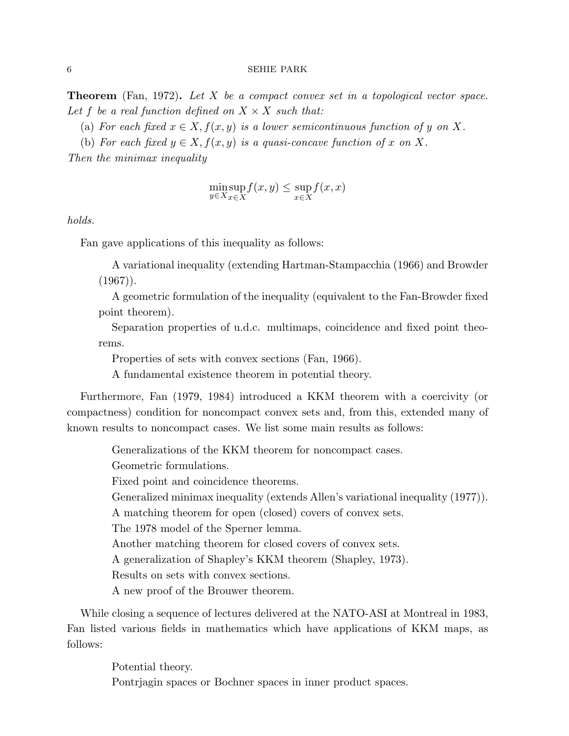**Theorem** (Fan, 1972). Let X be a compact convex set in a topological vector space. Let f be a real function defined on  $X \times X$  such that:

(a) For each fixed  $x \in X$ ,  $f(x, y)$  is a lower semicontinuous function of y on X.

(b) For each fixed  $y \in X, f(x, y)$  is a quasi-concave function of x on X.

Then the minimax inequality

$$
\min_{y \in X} \sup_{x \in X} f(x, y) \le \sup_{x \in X} f(x, x)
$$

holds.

Fan gave applications of this inequality as follows:

A variational inequality (extending Hartman-Stampacchia (1966) and Browder  $(1967)$ .

A geometric formulation of the inequality (equivalent to the Fan-Browder fixed point theorem).

Separation properties of u.d.c. multimaps, coincidence and fixed point theorems.

Properties of sets with convex sections (Fan, 1966).

A fundamental existence theorem in potential theory.

Furthermore, Fan (1979, 1984) introduced a KKM theorem with a coercivity (or compactness) condition for noncompact convex sets and, from this, extended many of known results to noncompact cases. We list some main results as follows:

Generalizations of the KKM theorem for noncompact cases.

Geometric formulations.

Fixed point and coincidence theorems.

Generalized minimax inequality (extends Allen's variational inequality (1977)).

A matching theorem for open (closed) covers of convex sets.

The 1978 model of the Sperner lemma.

Another matching theorem for closed covers of convex sets.

A generalization of Shapley's KKM theorem (Shapley, 1973).

Results on sets with convex sections.

A new proof of the Brouwer theorem.

While closing a sequence of lectures delivered at the NATO-ASI at Montreal in 1983, Fan listed various fields in mathematics which have applications of KKM maps, as follows:

> Potential theory. Pontrjagin spaces or Bochner spaces in inner product spaces.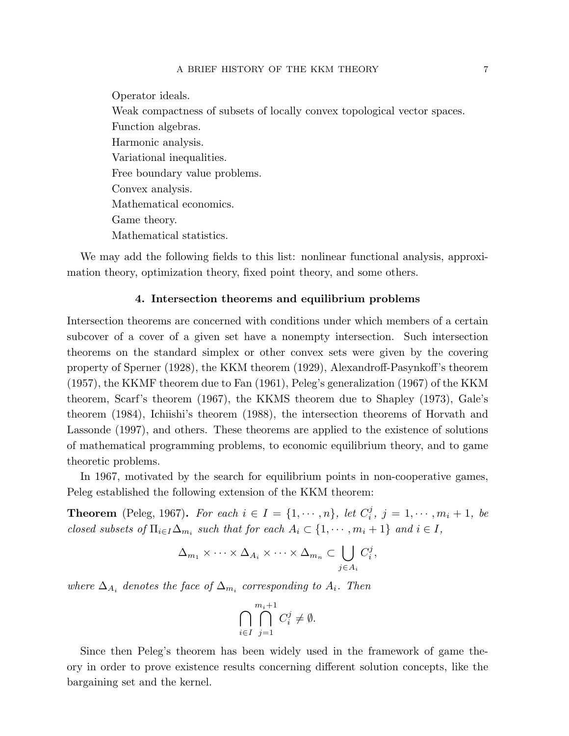Operator ideals.

Weak compactness of subsets of locally convex topological vector spaces. Function algebras. Harmonic analysis. Variational inequalities. Free boundary value problems. Convex analysis. Mathematical economics. Game theory. Mathematical statistics.

We may add the following fields to this list: nonlinear functional analysis, approximation theory, optimization theory, fixed point theory, and some others.

# 4. Intersection theorems and equilibrium problems

Intersection theorems are concerned with conditions under which members of a certain subcover of a cover of a given set have a nonempty intersection. Such intersection theorems on the standard simplex or other convex sets were given by the covering property of Sperner (1928), the KKM theorem (1929), Alexandroff-Pasynkoff's theorem (1957), the KKMF theorem due to Fan (1961), Peleg's generalization (1967) of the KKM theorem, Scarf's theorem (1967), the KKMS theorem due to Shapley (1973), Gale's theorem (1984), Ichiishi's theorem (1988), the intersection theorems of Horvath and Lassonde (1997), and others. These theorems are applied to the existence of solutions of mathematical programming problems, to economic equilibrium theory, and to game theoretic problems.

In 1967, motivated by the search for equilibrium points in non-cooperative games, Peleg established the following extension of the KKM theorem:

**Theorem** (Peleg, 1967). For each  $i \in I = \{1, \dots, n\}$ , let  $C_i^j$  $j^{j}, j = 1, \cdots, m_{i} + 1, be$ closed subsets of  $\Pi_{i\in I}\Delta_{m_i}$  such that for each  $A_i\subset\{1,\cdots,m_i+1\}$  and  $i\in I$ ,

$$
\Delta_{m_1} \times \cdots \times \Delta_{A_i} \times \cdots \times \Delta_{m_n} \subset \bigcup_{j \in A_i} C_i^j,
$$

where  $\Delta_{A_i}$  denotes the face of  $\Delta_{m_i}$  corresponding to  $A_i$ . Then

$$
\bigcap_{i\in I}\bigcap_{j=1}^{m_i+1}C_i^j\neq\emptyset.
$$

Since then Peleg's theorem has been widely used in the framework of game theory in order to prove existence results concerning different solution concepts, like the bargaining set and the kernel.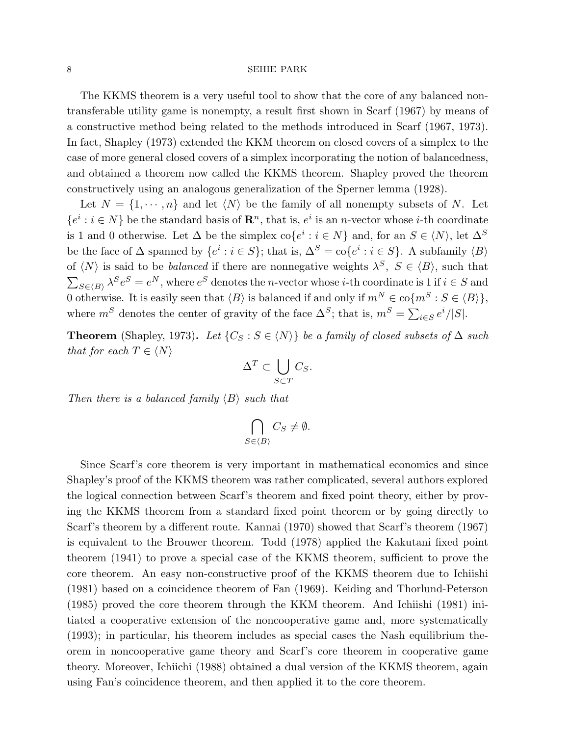The KKMS theorem is a very useful tool to show that the core of any balanced nontransferable utility game is nonempty, a result first shown in Scarf (1967) by means of a constructive method being related to the methods introduced in Scarf (1967, 1973). In fact, Shapley (1973) extended the KKM theorem on closed covers of a simplex to the case of more general closed covers of a simplex incorporating the notion of balancedness, and obtained a theorem now called the KKMS theorem. Shapley proved the theorem constructively using an analogous generalization of the Sperner lemma (1928).

Let  $N = \{1, \dots, n\}$  and let  $\langle N \rangle$  be the family of all nonempty subsets of N. Let  $\{e^i : i \in N\}$  be the standard basis of  $\mathbb{R}^n$ , that is,  $e^i$  is an *n*-vector whose *i*-th coordinate is 1 and 0 otherwise. Let  $\Delta$  be the simplex  $\text{co}\lbrace e^i : i \in N \rbrace$  and, for an  $S \in \langle N \rangle$ , let  $\Delta^S$ be the face of  $\Delta$  spanned by  $\{e^i : i \in S\}$ ; that is,  $\Delta^S = \text{co}\{e^i : i \in S\}$ . A subfamily  $\langle B \rangle$ of  $\langle N \rangle$  is said to be *balanced* if there are nonnegative weights  $\lambda^S$ ,  $S \in \langle B \rangle$ , such that  $\overline{ }$  $S \in \langle B \rangle$   $\lambda^S e^S = e^N$ , where  $e^S$  denotes the *n*-vector whose *i*-th coordinate is 1 if  $i \in S$  and 0 otherwise. It is easily seen that  $\langle B \rangle$  is balanced if and only if  $m^N \in \text{co}\{m^S : S \in \langle B \rangle\},$ where  $m^S$  denotes the center of gravity of the face  $\Delta^S$ ; that is,  $m^S = \sum_{i \in S} e^i / |S|$ .

Theorem (Shapley, 1973). Let  $\{C_S : S \in \langle N \rangle\}$  be a family of closed subsets of  $\Delta$  such that for each  $T \in \langle N \rangle$  $\overline{a}$ 

$$
\Delta^T \subset \bigcup_{S \subset T} C_S.
$$

Then there is a balanced family  $\langle B \rangle$  such that

$$
\bigcap_{S \in \langle B \rangle} C_S \neq \emptyset.
$$

Since Scarf's core theorem is very important in mathematical economics and since Shapley's proof of the KKMS theorem was rather complicated, several authors explored the logical connection between Scarf's theorem and fixed point theory, either by proving the KKMS theorem from a standard fixed point theorem or by going directly to Scarf's theorem by a different route. Kannai (1970) showed that Scarf's theorem (1967) is equivalent to the Brouwer theorem. Todd (1978) applied the Kakutani fixed point theorem (1941) to prove a special case of the KKMS theorem, sufficient to prove the core theorem. An easy non-constructive proof of the KKMS theorem due to Ichiishi (1981) based on a coincidence theorem of Fan (1969). Keiding and Thorlund-Peterson (1985) proved the core theorem through the KKM theorem. And Ichiishi (1981) initiated a cooperative extension of the noncooperative game and, more systematically (1993); in particular, his theorem includes as special cases the Nash equilibrium theorem in noncooperative game theory and Scarf's core theorem in cooperative game theory. Moreover, Ichiichi (1988) obtained a dual version of the KKMS theorem, again using Fan's coincidence theorem, and then applied it to the core theorem.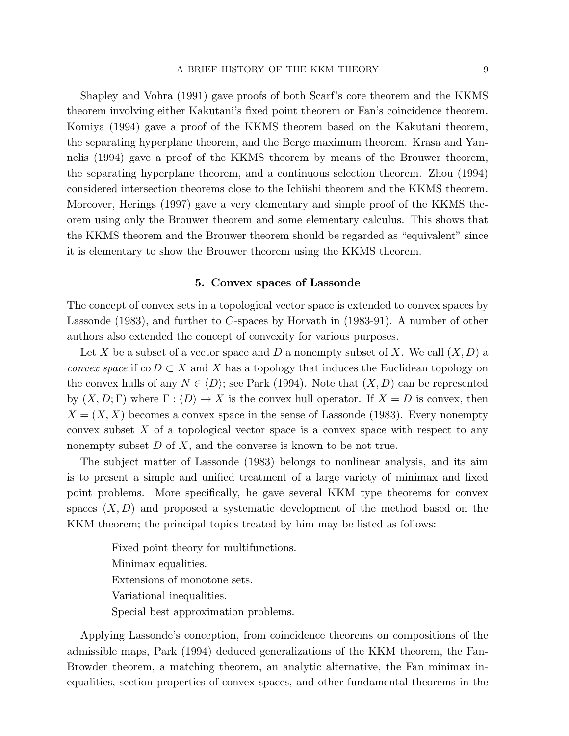Shapley and Vohra (1991) gave proofs of both Scarf's core theorem and the KKMS theorem involving either Kakutani's fixed point theorem or Fan's coincidence theorem. Komiya (1994) gave a proof of the KKMS theorem based on the Kakutani theorem, the separating hyperplane theorem, and the Berge maximum theorem. Krasa and Yannelis (1994) gave a proof of the KKMS theorem by means of the Brouwer theorem, the separating hyperplane theorem, and a continuous selection theorem. Zhou (1994) considered intersection theorems close to the Ichiishi theorem and the KKMS theorem. Moreover, Herings (1997) gave a very elementary and simple proof of the KKMS theorem using only the Brouwer theorem and some elementary calculus. This shows that the KKMS theorem and the Brouwer theorem should be regarded as "equivalent" since it is elementary to show the Brouwer theorem using the KKMS theorem.

# 5. Convex spaces of Lassonde

The concept of convex sets in a topological vector space is extended to convex spaces by Lassonde (1983), and further to C-spaces by Horvath in (1983-91). A number of other authors also extended the concept of convexity for various purposes.

Let X be a subset of a vector space and D a nonempty subset of X. We call  $(X, D)$  a convex space if co  $D \subset X$  and X has a topology that induces the Euclidean topology on the convex hulls of any  $N \in \langle D \rangle$ ; see Park (1994). Note that  $(X, D)$  can be represented by  $(X, D; \Gamma)$  where  $\Gamma : \langle D \rangle \to X$  is the convex hull operator. If  $X = D$  is convex, then  $X = (X, X)$  becomes a convex space in the sense of Lassonde (1983). Every nonempty convex subset  $X$  of a topological vector space is a convex space with respect to any nonempty subset  $D$  of  $X$ , and the converse is known to be not true.

The subject matter of Lassonde (1983) belongs to nonlinear analysis, and its aim is to present a simple and unified treatment of a large variety of minimax and fixed point problems. More specifically, he gave several KKM type theorems for convex spaces  $(X, D)$  and proposed a systematic development of the method based on the KKM theorem; the principal topics treated by him may be listed as follows:

> Fixed point theory for multifunctions. Minimax equalities. Extensions of monotone sets. Variational inequalities. Special best approximation problems.

Applying Lassonde's conception, from coincidence theorems on compositions of the admissible maps, Park (1994) deduced generalizations of the KKM theorem, the Fan-Browder theorem, a matching theorem, an analytic alternative, the Fan minimax inequalities, section properties of convex spaces, and other fundamental theorems in the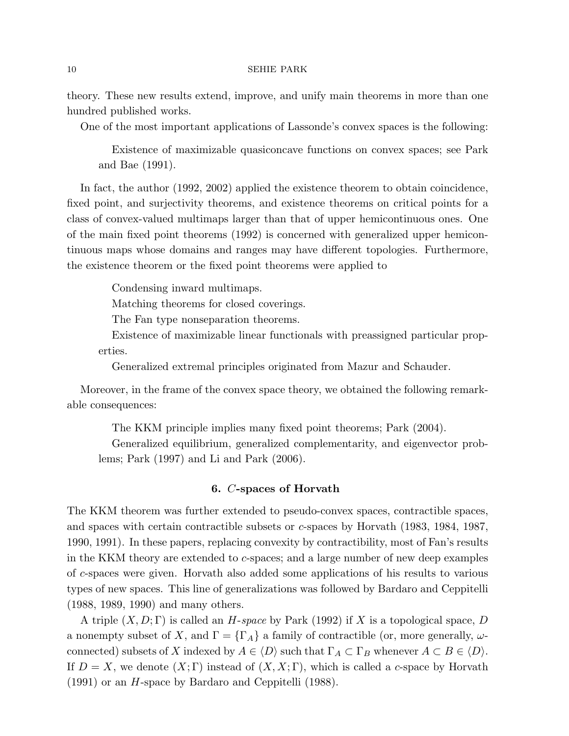theory. These new results extend, improve, and unify main theorems in more than one hundred published works.

One of the most important applications of Lassonde's convex spaces is the following:

Existence of maximizable quasiconcave functions on convex spaces; see Park and Bae (1991).

In fact, the author (1992, 2002) applied the existence theorem to obtain coincidence, fixed point, and surjectivity theorems, and existence theorems on critical points for a class of convex-valued multimaps larger than that of upper hemicontinuous ones. One of the main fixed point theorems (1992) is concerned with generalized upper hemicontinuous maps whose domains and ranges may have different topologies. Furthermore, the existence theorem or the fixed point theorems were applied to

Condensing inward multimaps.

Matching theorems for closed coverings.

The Fan type nonseparation theorems.

Existence of maximizable linear functionals with preassigned particular properties.

Generalized extremal principles originated from Mazur and Schauder.

Moreover, in the frame of the convex space theory, we obtained the following remarkable consequences:

The KKM principle implies many fixed point theorems; Park (2004).

Generalized equilibrium, generalized complementarity, and eigenvector problems; Park (1997) and Li and Park (2006).

# 6. C-spaces of Horvath

The KKM theorem was further extended to pseudo-convex spaces, contractible spaces, and spaces with certain contractible subsets or c-spaces by Horvath (1983, 1984, 1987, 1990, 1991). In these papers, replacing convexity by contractibility, most of Fan's results in the KKM theory are extended to c-spaces; and a large number of new deep examples of c-spaces were given. Horvath also added some applications of his results to various types of new spaces. This line of generalizations was followed by Bardaro and Ceppitelli (1988, 1989, 1990) and many others.

A triple  $(X, D; \Gamma)$  is called an H-space by Park (1992) if X is a topological space, D a nonempty subset of X, and  $\Gamma = {\{\Gamma_A\}}$  a family of contractible (or, more generally,  $\omega$ connected) subsets of X indexed by  $A \in \langle D \rangle$  such that  $\Gamma_A \subset \Gamma_B$  whenever  $A \subset B \in \langle D \rangle$ . If  $D = X$ , we denote  $(X; \Gamma)$  instead of  $(X, X; \Gamma)$ , which is called a c-space by Horvath (1991) or an H-space by Bardaro and Ceppitelli (1988).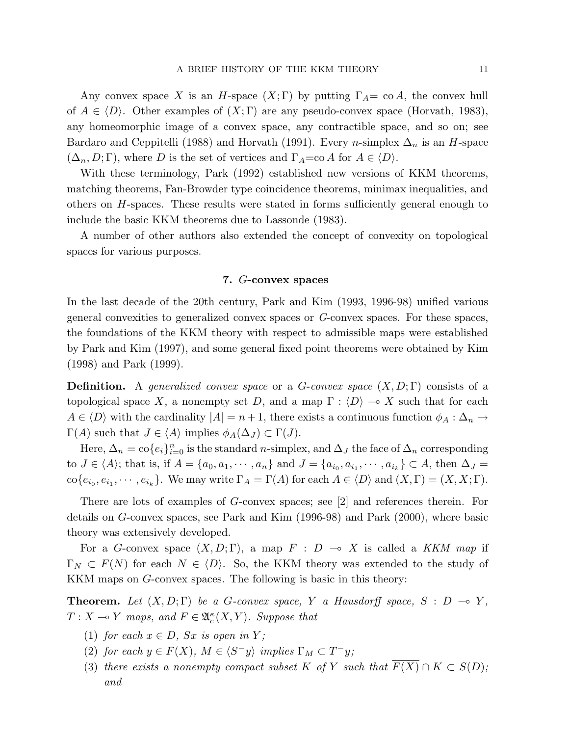Any convex space X is an H-space  $(X;\Gamma)$  by putting  $\Gamma_A = \text{co } A$ , the convex hull of  $A \in \langle D \rangle$ . Other examples of  $(X; \Gamma)$  are any pseudo-convex space (Horvath, 1983), any homeomorphic image of a convex space, any contractible space, and so on; see Bardaro and Ceppitelli (1988) and Horvath (1991). Every *n*-simplex  $\Delta_n$  is an *H*-space  $(\Delta_n, D; \Gamma)$ , where D is the set of vertices and  $\Gamma_A = \text{co } A$  for  $A \in \langle D \rangle$ .

With these terminology, Park (1992) established new versions of KKM theorems, matching theorems, Fan-Browder type coincidence theorems, minimax inequalities, and others on H-spaces. These results were stated in forms sufficiently general enough to include the basic KKM theorems due to Lassonde (1983).

A number of other authors also extended the concept of convexity on topological spaces for various purposes.

## 7. G-convex spaces

In the last decade of the 20th century, Park and Kim (1993, 1996-98) unified various general convexities to generalized convex spaces or G-convex spaces. For these spaces, the foundations of the KKM theory with respect to admissible maps were established by Park and Kim (1997), and some general fixed point theorems were obtained by Kim (1998) and Park (1999).

**Definition.** A generalized convex space or a G-convex space  $(X, D; \Gamma)$  consists of a topological space X, a nonempty set D, and a map  $\Gamma : \langle D \rangle \to X$  such that for each  $A \in \langle D \rangle$  with the cardinality  $|A| = n + 1$ , there exists a continuous function  $\phi_A : \Delta_n \to \Delta_n$  $\Gamma(A)$  such that  $J \in \langle A \rangle$  implies  $\phi_A(\Delta_J) \subset \Gamma(J)$ .

Here,  $\Delta_n = \text{co}\{e_i\}_{i=0}^n$  is the standard *n*-simplex, and  $\Delta_j$  the face of  $\Delta_n$  corresponding to  $J \in \langle A \rangle$ ; that is, if  $A = \{a_0, a_1, \dots, a_n\}$  and  $J = \{a_{i_0}, a_{i_1}, \dots, a_{i_k}\} \subset A$ , then  $\Delta_J =$  $\operatorname{co}\{e_{i_0}, e_{i_1}, \cdots, e_{i_k}\}.$  We may write  $\Gamma_A = \Gamma(A)$  for each  $A \in \langle D \rangle$  and  $(X, \Gamma) = (X, X; \Gamma).$ 

There are lots of examples of G-convex spaces; see [2] and references therein. For details on G-convex spaces, see Park and Kim (1996-98) and Park (2000), where basic theory was extensively developed.

For a G-convex space  $(X, D; \Gamma)$ , a map  $F : D \multimap X$  is called a KKM map if  $\Gamma_N \subset F(N)$  for each  $N \in \langle D \rangle$ . So, the KKM theory was extended to the study of KKM maps on G-convex spaces. The following is basic in this theory:

**Theorem.** Let  $(X, D; \Gamma)$  be a G-convex space, Y a Hausdorff space, S : D  $\rightarrow$  Y,  $T: X \longrightarrow Y$  maps, and  $F \in \mathfrak{A}_{c}^{\kappa}(X, Y)$ . Suppose that

- (1) for each  $x \in D$ , Sx is open in Y;
- (2) for each  $y \in F(X)$ ,  $M \in \langle S^-y \rangle$  implies  $\Gamma_M \subset T^-y$ ;
- (3) there exists a nonempty compact subset K of Y such that  $\overline{F(X)} \cap K \subset S(D)$ ; and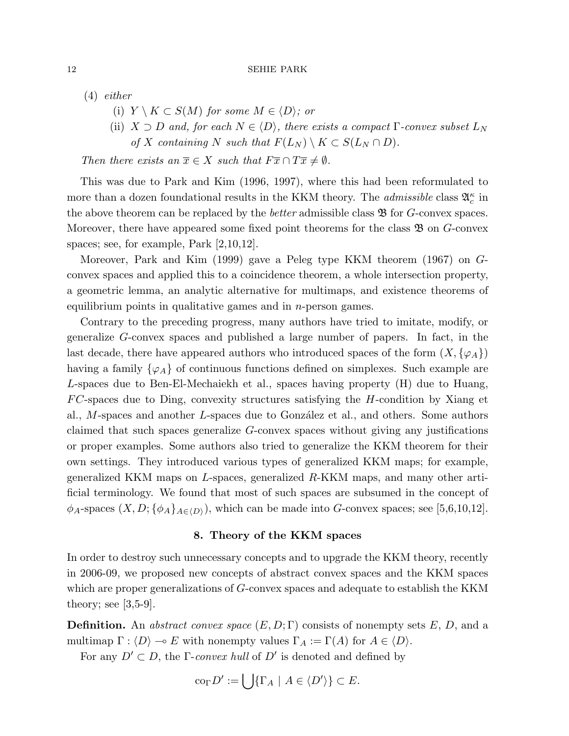(4) either

- (i)  $Y \setminus K \subset S(M)$  for some  $M \in \langle D \rangle$ ; or
- (ii)  $X \supset D$  and, for each  $N \in \langle D \rangle$ , there exists a compact  $\Gamma$ -convex subset  $L_N$ of X containing N such that  $F(L_N) \setminus K \subset S(L_N \cap D)$ .

Then there exists an  $\overline{x} \in X$  such that  $F\overline{x} \cap T\overline{x} \neq \emptyset$ .

This was due to Park and Kim (1996, 1997), where this had been reformulated to more than a dozen foundational results in the KKM theory. The *admissible* class  $\mathfrak{A}_{c}^{\kappa}$  in the above theorem can be replaced by the *better* admissible class  $\mathfrak{B}$  for  $G$ -convex spaces. Moreover, there have appeared some fixed point theorems for the class  $\mathfrak{B}$  on  $G$ -convex spaces; see, for example, Park [2,10,12].

Moreover, Park and Kim (1999) gave a Peleg type KKM theorem (1967) on Gconvex spaces and applied this to a coincidence theorem, a whole intersection property, a geometric lemma, an analytic alternative for multimaps, and existence theorems of equilibrium points in qualitative games and in  $n$ -person games.

Contrary to the preceding progress, many authors have tried to imitate, modify, or generalize G-convex spaces and published a large number of papers. In fact, in the last decade, there have appeared authors who introduced spaces of the form  $(X, \{\varphi_A\})$ having a family  $\{\varphi_A\}$  of continuous functions defined on simplexes. Such example are L-spaces due to Ben-El-Mechaiekh et al., spaces having property (H) due to Huang,  $FC$ -spaces due to Ding, convexity structures satisfying the H-condition by Xiang et al.,  $M$ -spaces and another  $L$ -spaces due to González et al., and others. Some authors claimed that such spaces generalize G-convex spaces without giving any justifications or proper examples. Some authors also tried to generalize the KKM theorem for their own settings. They introduced various types of generalized KKM maps; for example, generalized KKM maps on L-spaces, generalized  $R$ -KKM maps, and many other artificial terminology. We found that most of such spaces are subsumed in the concept of  $\phi_A$ -spaces  $(X, D; {\phi_A}_{A \in \langle D \rangle})$ , which can be made into G-convex spaces; see [5,6,10,12].

## 8. Theory of the KKM spaces

In order to destroy such unnecessary concepts and to upgrade the KKM theory, recently in 2006-09, we proposed new concepts of abstract convex spaces and the KKM spaces which are proper generalizations of G-convex spaces and adequate to establish the KKM theory; see  $[3,5-9]$ .

**Definition.** An abstract convex space  $(E, D; \Gamma)$  consists of nonempty sets E, D, and a multimap  $\Gamma : \langle D \rangle \to E$  with nonempty values  $\Gamma_A := \Gamma(A)$  for  $A \in \langle D \rangle$ .

For any  $D' \subset D$ , the *Γ-convex hull* of  $D'$  is denoted and defined by

$$
co_{\Gamma} D' := \bigcup \{ \Gamma_A \mid A \in \langle D' \rangle \} \subset E.
$$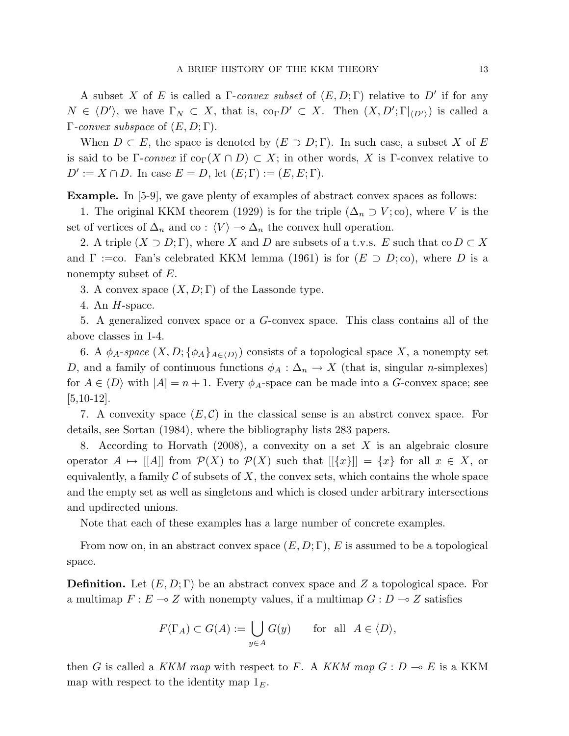A subset X of E is called a  $\Gamma$ -convex subset of  $(E, D; \Gamma)$  relative to D' if for any  $N \in \langle D' \rangle$ , we have  $\Gamma_N \subset X$ , that is,  $\text{co}_{\Gamma} D' \subset X$ . Then  $(X, D'; \Gamma|_{\langle D' \rangle})$  is called a  $\Gamma$ -convex subspace of  $(E, D; \Gamma)$ .

When  $D \subset E$ , the space is denoted by  $(E \supset D; \Gamma)$ . In such case, a subset X of E is said to be Γ-convex if  $\text{co}_{\Gamma}(X \cap D) \subset X$ ; in other words, X is Γ-convex relative to  $D' := X \cap D$ . In case  $E = D$ , let  $(E; \Gamma) := (E, E; \Gamma)$ .

Example. In [5-9], we gave plenty of examples of abstract convex spaces as follows:

1. The original KKM theorem (1929) is for the triple  $(\Delta_n \supset V; \text{co})$ , where V is the set of vertices of  $\Delta_n$  and co :  $\langle V \rangle$   $\sim \Delta_n$  the convex hull operation.

2. A triple  $(X \supset D; \Gamma)$ , where X and D are subsets of a t.v.s. E such that co  $D \subset X$ and  $\Gamma$  :=co. Fan's celebrated KKM lemma (1961) is for  $(E \supset D; \text{co})$ , where D is a nonempty subset of E.

3. A convex space  $(X, D; \Gamma)$  of the Lassonde type.

4. An  $H$ -space.

5. A generalized convex space or a G-convex space. This class contains all of the above classes in 1-4.

6. A  $\phi_A$ -space  $(X, D; {\phi_A}_{A\in\langle D \rangle})$  consists of a topological space X, a nonempty set D, and a family of continuous functions  $\phi_A : \Delta_n \to X$  (that is, singular n-simplexes) for  $A \in \langle D \rangle$  with  $|A| = n + 1$ . Every  $\phi_A$ -space can be made into a G-convex space; see  $[5,10-12]$ .

7. A convexity space  $(E, \mathcal{C})$  in the classical sense is an abstrct convex space. For details, see Sortan (1984), where the bibliography lists 283 papers.

8. According to Horvath  $(2008)$ , a convexity on a set X is an algebraic closure operator  $A \mapsto |[A]|$  from  $\mathcal{P}(X)$  to  $\mathcal{P}(X)$  such that  $|[\{x\}]| = \{x\}$  for all  $x \in X$ , or equivalently, a family  $\mathcal C$  of subsets of  $X$ , the convex sets, which contains the whole space and the empty set as well as singletons and which is closed under arbitrary intersections and updirected unions.

Note that each of these examples has a large number of concrete examples.

From now on, in an abstract convex space  $(E, D; \Gamma)$ , E is assumed to be a topological space.

**Definition.** Let  $(E, D; \Gamma)$  be an abstract convex space and Z a topological space. For a multimap  $F : E \to Z$  with nonempty values, if a multimap  $G : D \to Z$  satisfies

$$
F(\Gamma_A) \subset G(A) := \bigcup_{y \in A} G(y) \quad \text{for all } A \in \langle D \rangle,
$$

then G is called a KKM map with respect to F. A KKM map  $G: D \multimap E$  is a KKM map with respect to the identity map  $1<sub>E</sub>$ .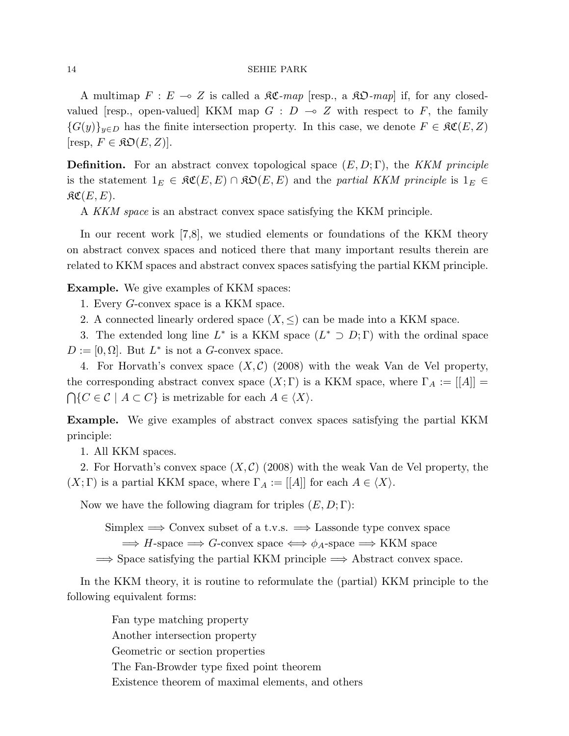A multimap  $F : E \multimap Z$  is called a  $\Re \mathfrak{C}$ -map [resp., a  $\Re \mathfrak{D}$ -map] if, for any closedvalued [resp., open-valued] KKM map  $G : D \multimap Z$  with respect to F, the family  ${G(y)}_{y\in D}$  has the finite intersection property. In this case, we denote  $F \in \mathfrak{RC}(E, Z)$  $[resp, F \in \mathfrak{KO}(E, Z)].$ 

**Definition.** For an abstract convex topological space  $(E, D; \Gamma)$ , the KKM principle is the statement  $1_E \in \mathfrak{RC}(E, E) \cap \mathfrak{RO}(E, E)$  and the partial KKM principle is  $1_E \in$  $\mathfrak{RC}(E,E).$ 

A KKM space is an abstract convex space satisfying the KKM principle.

In our recent work [7,8], we studied elements or foundations of the KKM theory on abstract convex spaces and noticed there that many important results therein are related to KKM spaces and abstract convex spaces satisfying the partial KKM principle.

Example. We give examples of KKM spaces:

1. Every G-convex space is a KKM space.

2. A connected linearly ordered space  $(X, \leq)$  can be made into a KKM space.

3. The extended long line  $L^*$  is a KKM space  $(L^* \supset D; \Gamma)$  with the ordinal space  $D := [0, \Omega]$ . But  $L^*$  is not a G-convex space.

4. For Horvath's convex space  $(X, \mathcal{C})$  (2008) with the weak Van de Vel property, the corresponding abstract convex space  $(X; \Gamma)$  is a KKM space, where  $\Gamma_A := [[A]] =$  $\bigcap \{C \in \mathcal{C} \mid A \subset C\}$  is metrizable for each  $A \in \langle X \rangle$ .

Example. We give examples of abstract convex spaces satisfying the partial KKM principle:

1. All KKM spaces.

2. For Horvath's convex space  $(X, \mathcal{C})$  (2008) with the weak Van de Vel property, the  $(X; \Gamma)$  is a partial KKM space, where  $\Gamma_A := [[A]]$  for each  $A \in \langle X \rangle$ .

Now we have the following diagram for triples  $(E, D; \Gamma)$ :

Simplex  $\implies$  Convex subset of a t.v.s.  $\implies$  Lassonde type convex space

 $\Rightarrow$  H-space  $\Rightarrow$  G-convex space  $\iff \phi_A$ -space  $\Rightarrow$  KKM space

 $\Rightarrow$  Space satisfying the partial KKM principle  $\Rightarrow$  Abstract convex space.

In the KKM theory, it is routine to reformulate the (partial) KKM principle to the following equivalent forms:

> Fan type matching property Another intersection property Geometric or section properties The Fan-Browder type fixed point theorem Existence theorem of maximal elements, and others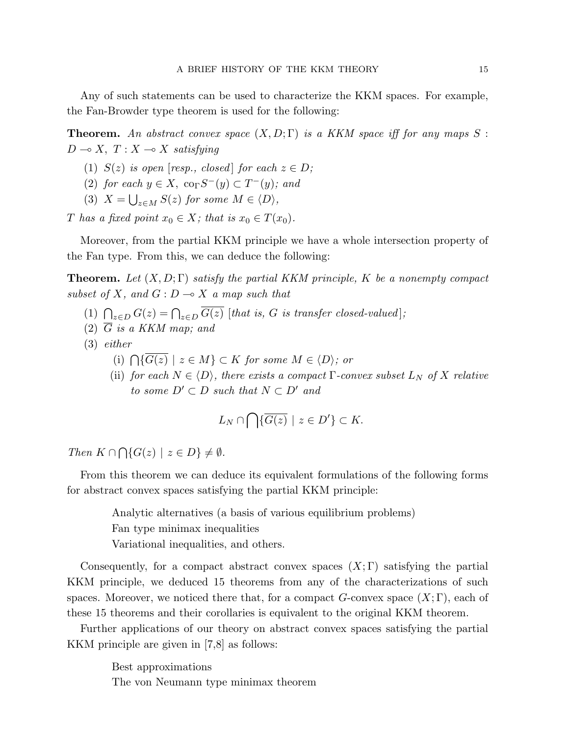Any of such statements can be used to characterize the KKM spaces. For example, the Fan-Browder type theorem is used for the following:

**Theorem.** An abstract convex space  $(X, D; \Gamma)$  is a KKM space iff for any maps S:  $D \multimap X, T : X \multimap X$  satisfying

- (1)  $S(z)$  is open [resp., closed] for each  $z \in D$ ;
- (2) for each  $y \in X$ ,  $\operatorname{co}_{\Gamma} S^{-}(y) \subset T^{-}(y)$ ; and
- (3)  $X = \bigcup_{z \in M} S(z)$  for some  $M \in \langle D \rangle$ ,

T has a fixed point  $x_0 \in X$ ; that is  $x_0 \in T(x_0)$ .

Moreover, from the partial KKM principle we have a whole intersection property of the Fan type. From this, we can deduce the following:

**Theorem.** Let  $(X, D; \Gamma)$  satisfy the partial KKM principle, K be a nonempty compact subset of X, and  $G: D \longrightarrow X$  a map such that

- (1)  $\bigcap_{z\in D} G(z) = \bigcap_{z\in D} \overline{G(z)}$  [that is, G is transfer closed-valued];
- (2)  $\overline{G}$  is a KKM map; and
- (3) either
	- (i)  $\bigcap {\overline{G(z)}} \mid z \in M$   $\bigcap K$  for some  $M \in \langle D \rangle$ ; or
	- (ii) for each  $N \in \langle D \rangle$ , there exists a compact  $\Gamma$ -convex subset  $L_N$  of X relative to some  $D' \subset D$  such that  $N \subset D'$  and

$$
L_N \cap \bigcap \{ \overline{G(z)} \mid z \in D' \} \subset K.
$$

Then  $K \cap$  $\overline{a}$  $\{G(z) \mid z \in D\} \neq \emptyset.$ 

From this theorem we can deduce its equivalent formulations of the following forms for abstract convex spaces satisfying the partial KKM principle:

Analytic alternatives (a basis of various equilibrium problems)

Fan type minimax inequalities

Variational inequalities, and others.

Consequently, for a compact abstract convex spaces  $(X; \Gamma)$  satisfying the partial KKM principle, we deduced 15 theorems from any of the characterizations of such spaces. Moreover, we noticed there that, for a compact  $G$ -convex space  $(X; \Gamma)$ , each of these 15 theorems and their corollaries is equivalent to the original KKM theorem.

Further applications of our theory on abstract convex spaces satisfying the partial KKM principle are given in [7,8] as follows:

> Best approximations The von Neumann type minimax theorem